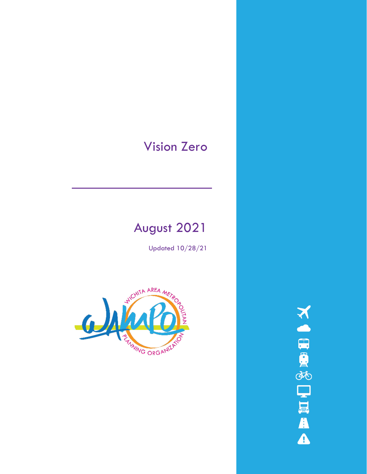# Vision Zero

# August 2021

Updated 10/28/21



**NORTHERA**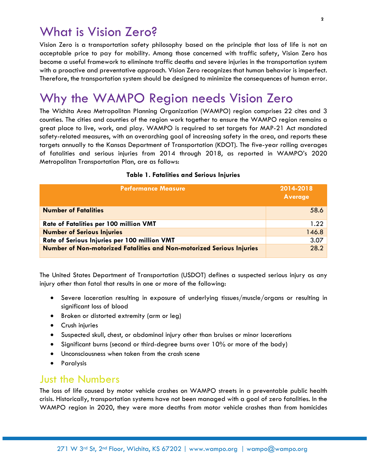## What is Vision Zero?

Vision Zero is a transportation safety philosophy based on the principle that loss of life is not an acceptable price to pay for mobility. Among those concerned with traffic safety, Vision Zero has become a useful framework to eliminate traffic deaths and severe injuries in the transportation system with a proactive and preventative approach. Vision Zero recognizes that human behavior is imperfect. Therefore, the transportation system should be designed to minimize the consequences of human error.

# Why the WAMPO Region needs Vision Zero

The Wichita Area Metropolitan Planning Organization (WAMPO) region comprises 22 cites and 3 counties. The cities and counties of the region work together to ensure the WAMPO region remains a great place to live, work, and play. WAMPO is required to set targets for MAP-21 Act mandated safety-related measures, with an overarching goal of increasing safety in the area, and reports these targets annually to the Kansas Department of Transportation (KDOT). The five-year rolling averages of fatalities and serious injuries from 2014 through 2018, as reported in WAMPO's 2020 Metropolitan Transportation Plan, are as follows:

### **Table 1. Fatalities and Serious Injuries**

| <b>Performance Measure</b>                                            | 2014-2018<br><b>Average</b> |
|-----------------------------------------------------------------------|-----------------------------|
| <b>Number of Fatalities</b>                                           | 58.6                        |
| Rate of Fatalities per 100 million VMT                                | 1.22                        |
| <b>Number of Serious Injuries</b>                                     | 146.8                       |
| Rate of Serious Injuries per 100 million VMT                          | 3.07                        |
| Number of Non-motorized Fatalities and Non-motorized Serious Injuries | 28.2                        |

The United States Department of Transportation (USDOT) defines a suspected serious injury as any injury other than fatal that results in one or more of the following:

- Severe laceration resulting in exposure of underlying tissues/muscle/organs or resulting in significant loss of blood
- Broken or distorted extremity (arm or leg)
- Crush injuries
- Suspected skull, chest, or abdominal injury other than bruises or minor lacerations
- Significant burns (second or third-degree burns over 10% or more of the body)
- Unconsciousness when taken from the crash scene
- Paralysis

### Just the Numbers

The loss of life caused by motor vehicle crashes on WAMPO streets in a preventable public health crisis. Historically, transportation systems have not been managed with a goal of zero fatalities. In the WAMPO region in 2020, they were more deaths from motor vehicle crashes than from homicides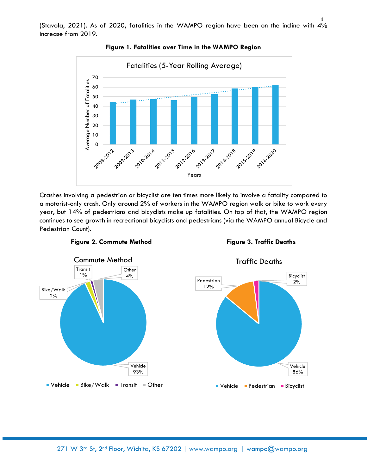(Stavola, 2021). As of 2020, fatalities in the WAMPO region have been on the incline with 4% increase from 2019.



**Figure 1. Fatalities over Time in the WAMPO Region**

Crashes involving a pedestrian or bicyclist are ten times more likely to involve a fatality compared to a motorist-only crash. Only around 2% of workers in the WAMPO region walk or bike to work every year, but 14% of pedestrians and bicyclists make up fatalities. On top of that, the WAMPO region continues to see growth in recreational bicyclists and pedestrians (via the WAMPO annual Bicycle and Pedestrian Count).



**Figure 2. Commute Method Figure 3. Traffic Deaths** 





Traffic Deaths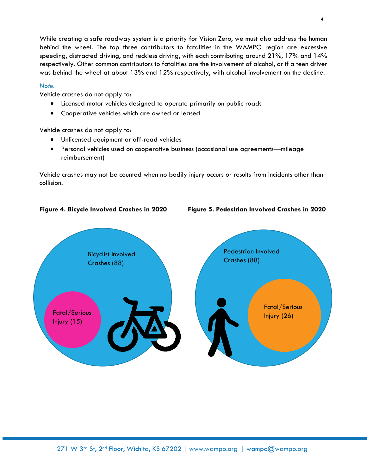While creating a safe roadway system is a priority for Vision Zero, we must also address the human behind the wheel. The top three contributors to fatalities in the WAMPO region are excessive speeding, distracted driving, and reckless driving, with each contributing around 21%, 17% and 14% respectively. Other common contributors to fatalities are the involvement of alcohol, or if a teen driver was behind the wheel at about 13% and 12% respectively, with alcohol involvement on the decline.

### *Note:*

Vehicle crashes do not apply to:

- Licensed motor vehicles designed to operate primarily on public roads
- Cooperative vehicles which are owned or leased

Vehicle crashes do not apply to:

- Unlicensed equipment or off-road vehicles
- Personal vehicles used on cooperative business (occasional use agreements—mileage reimbursement)

Vehicle crashes may not be counted when no bodily injury occurs or results from incidents other than collision.





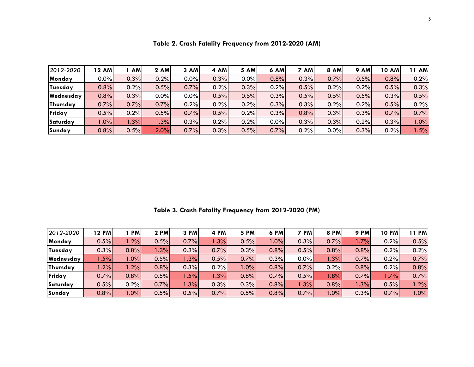| 2012-2020 | 12 AM   | <b>AM</b> | 2 AM | 3 AM | 4 AM | <b>5 AM</b> | <b>6 AM</b> | 7 AM | 8 AM | <b>9 AM</b> | <b>10 AM</b> | 11 AM |
|-----------|---------|-----------|------|------|------|-------------|-------------|------|------|-------------|--------------|-------|
| Monday    | $0.0\%$ | 0.3%      | 0.2% | 0.0% | 0.3% | $0.0\%$     | 0.8%        | 0.3% | 0.7% | 0.5%        | 0.8%         | 0.2%  |
| Tuesday   | 0.8%    | 0.2%      | 0.5% | 0.7% | 0.2% | 0.3%        | 0.2%        | 0.5% | 0.2% | 0.2%        | 0.5%         | 0.3%  |
| Wednesday | 0.8%    | 0.3%      | 0.0% | 0.0% | 0.5% | 0.5%        | 0.3%        | 0.5% | 0.5% | 0.5%        | 0.3%         | 0.5%  |
| Thursday  | 0.7%    | 0.7%      | 0.7% | 0.2% | 0.2% | 0.2%        | 0.3%        | 0.3% | 0.2% | 0.2%        | 0.5%         | 0.2%  |
| Friday    | 0.5%    | 0.2%      | 0.5% | 0.7% | 0.5% | 0.2%        | 0.3%        | 0.8% | 0.3% | 0.3%        | 0.7%         | 0.7%  |
| Saturday  | 1.0%    | 1.3%      | 1.3% | 0.3% | 0.2% | 0.2%        | $0.0\%$     | 0.3% | 0.3% | 0.2%        | 0.3%         | 1.0%  |
| Sunday    | 0.8%    | 0.5%      | 2.0% | 0.7% | 0.3% | 0.5%        | 0.7%        | 0.2% | 0.0% | 0.3%        | 0.2%         | .5%   |

**Table 2. Crash Fatality Frequency from 2012-2020 (AM)**

**Table 3. Crash Fatality Frequency from 2012-2020 (PM)**

| 2012-2020      | 12 PMI | <b>PM</b> | 2 PM | 3 PM   | 4 PM | 5 PM   | 6 PM    | <b>PM</b> | 8 PM   | 9 PM   | <b>10 PM</b> | 11 PM |
|----------------|--------|-----------|------|--------|------|--------|---------|-----------|--------|--------|--------------|-------|
| Monday         | 0.5%   | 1.2%      | 0.5% | 0.7%   | .3%  | 0.5%   | $1.0\%$ | 0.3%      | 0.7%   | $.7\%$ | 0.2%         | 0.5%  |
| <b>Tuesday</b> | 0.3%   | 0.8%      | .3%  | 0.3%   | 0.7% | 0.3%   | 0.8%    | 0.5%      | 0.8%   | 0.8%   | 0.2%         | 0.2%  |
| Wednesday      | .5%    | $.0\%$    | 0.5% | .3%    | 0.5% | 0.7%   | 0.3%    | 0.0%      | .3%    | 0.7%   | 0.2%         | 0.7%  |
| Thursday       | .2%    | .2%       | 0.8% | 0.3%   | 0.2% | $.0\%$ | 0.8%    | 0.7%      | 0.2%   | 0.8%   | 0.2%         | 0.8%  |
| Friday         | 0.7%   | 0.8%      | 0.5% | $.5\%$ | .3%  | 0.8%   | 0.7%    | 0.5%      | 1.8%   | 0.7%   | .7%          | 0.7%  |
| Saturday       | 0.5%   | 0.2%      | 0.7% | 1.3%   | 0.3% | 0.3%   | 0.8%    | 1.3%      | 0.8%   | 1.3%   | 0.5%         | 1.2%  |
| Sunday         | 0.8%   | 1.0%      | 0.5% | 0.5%   | 0.7% | 0.5%   | 0.8%    | 0.7%      | $.0\%$ | 0.3%   | 0.7%         | 1.0%  |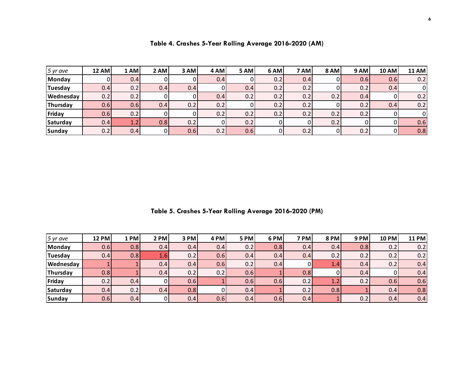| $5$ yr ave       | <b>12 AM</b> | 1 AM | 2 AM | 3 AM | 4 AM | 5 AM | 6 AM | 7 AM | 8 AM | 9 AM | <b>10 AM</b> | <b>11 AM</b> |
|------------------|--------------|------|------|------|------|------|------|------|------|------|--------------|--------------|
| Monday           | 01           | 0.4  |      |      | 0.4  | 0    | 0.2  | 0.4  |      | 0.6  | 0.6          | 0.2          |
| Tuesday          | 0.4          | 0.2  | 0.4  | 0.4  |      | 0.4  | 0.2  | 0.2  |      | 0.2  | 0.4          | 0            |
| <b>Wednesday</b> | 0.2          | 0.2  |      |      | 0.4  | 0.2  | 0.2  | 0.2  | 0.2  | 0.4  | 0            | 0.2          |
| Thursday         | 0.6          | 0.6  | 0.4  | 0.2  | 0.2  | 0    | 0.2  | 0.2  |      | 0.2  | 0.4          | 0.2          |
| Friday           | 0.6          | 0.2  |      |      | 0.2  | 0.2  | 0.2  | 0.2  | 0.2  | 0.2  |              | $\mathbf{0}$ |
| Saturday         | 0.4          | 1.2  | 0.8  | 0.2  |      | 0.2  |      |      | 0.2  |      |              | 0.6          |
| Sunday           | 0.2          | 0.4  | 01   | 0.6  | 0.2  | 0.6  | 01   | 0.2  |      | 0.2  | 0            | 0.8          |

**Table 4. Crashes 5-Year Rolling Average 2016-2020 (AM)**

**Table 5. Crashes 5-Year Rolling Average 2016-2020 (PM)**

| $5$ yr ave       | <b>12 PM</b> | 1 PM | $2$ PM | 3 PM | 4 PM | <b>5 PM</b> | 6 PM | 7 PM | <b>8 PM</b> | <b>9 PM</b> | 10 PM | <b>11 PM</b> |
|------------------|--------------|------|--------|------|------|-------------|------|------|-------------|-------------|-------|--------------|
| Monday           | 0.6          | 0.8  | 0.4    | 0.4  | 0.4  | 0.2         | 0.8  | 0.4  | 0.4         | 0.8         | 0.2   | 0.2          |
| Tuesday          | 0.4          | 0.8  | 4.6'   | 0.2  | 0.6  | 0.4         | 0.4  | 0.4  | 0.2         | 0.2         | 0.2   | 0.2          |
| <b>Wednesday</b> |              |      | 0.41   | 0.4  | 0.6  | 0.2         | 0.4  |      | 1.4         | 0.4         | 0.2   | 0.4          |
| Thursday         | 0.8          |      | 0.4    | 0.2  | 0.2  | 0.6         |      | 0.8  |             | 0.4         |       | 0.4          |
| Friday           | 0.2          | 0.4  | 01     | 0.6  |      | 0.6         | 0.6  | 0.2  |             | 0.2         | 0.6   | 0.6          |
| Saturday         | 0.4          | 0.2  | 0.4    | 0.8  |      | 0.4         |      | 0.2  | 0.8         |             | 0.4   | 0.8          |
| Sunday           | 0.6          | 0.4  |        | 0.41 | 0.6  | 0.4         | 0.6  | 0.4  |             | 0.2         | 0.4   | 0.4          |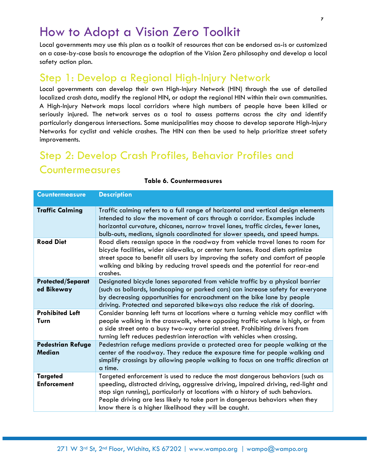## How to Adopt a Vision Zero Toolkit

Local governments may use this plan as a toolkit of resources that can be endorsed as-is or customized on a case-by-case basis to encourage the adoption of the Vision Zero philosophy and develop a local safety action plan.

### Step 1: Develop a Regional High-Injury Network

Local governments can develop their own High-Injury Network (HIN) through the use of detailed localized crash data, modify the regional HIN, or adopt the regional HIN within their own communities. A High-Injury Network maps local corridors where high numbers of people have been killed or seriously injured. The network serves as a tool to assess patterns across the city and identify particularly dangerous intersections. Some municipalities may choose to develop separate High-Injury Networks for cyclist and vehicle crashes. The HIN can then be used to help prioritize street safety improvements.

## Step 2: Develop Crash Profiles, Behavior Profiles and **Countermeasures**

| <b>Countermeasure</b>                     | <b>Description</b>                                                                                                                                                                                                                                                                                                                                                                             |
|-------------------------------------------|------------------------------------------------------------------------------------------------------------------------------------------------------------------------------------------------------------------------------------------------------------------------------------------------------------------------------------------------------------------------------------------------|
| <b>Traffic Calming</b>                    | Traffic calming refers to a full range of horizontal and vertical design elements<br>intended to slow the movement of cars through a corridor. Examples include<br>horizontal curvature, chicanes, narrow travel lanes, traffic circles, fewer lanes,<br>bulb-outs, medians, signals coordinated for slower speeds, and speed humps.                                                           |
| <b>Road Diet</b>                          | Road diets reassign space in the roadway from vehicle travel lanes to room for<br>bicycle facilities, wider sidewalks, or center turn lanes. Road diets optimize<br>street space to benefit all users by improving the safety and comfort of people<br>walking and biking by reducing travel speeds and the potential for rear-end<br>crashes.                                                 |
| <b>Protected/Separat</b><br>ed Bikeway    | Designated bicycle lanes separated from vehicle traffic by a physical barrier<br>(such as bollards, landscaping or parked cars) can increase safety for everyone<br>by decreasing opportunities for encroachment on the bike lane by people<br>driving. Protected and separated bikeways also reduce the risk of dooring.                                                                      |
| <b>Prohibited Left</b><br>Turn            | Consider banning left turns at locations where a turning vehicle may conflict with<br>people walking in the crosswalk, where opposing traffic volume is high, or from<br>a side street onto a busy two-way arterial street. Prohibiting drivers from<br>turning left reduces pedestrian interaction with vehicles when crossing.                                                               |
| <b>Pedestrian Refuge</b><br><b>Median</b> | Pedestrian refuge medians provide a protected area for people walking at the<br>center of the roadway. They reduce the exposure time for people walking and<br>simplify crossings by allowing people walking to focus on one traffic direction at<br>a time.                                                                                                                                   |
| <b>Targeted</b><br><b>Enforcement</b>     | Targeted enforcement is used to reduce the most dangerous behaviors (such as<br>speeding, distracted driving, aggressive driving, impaired driving, red-light and<br>stop sign running), particularly at locations with a history of such behaviors.<br>People driving are less likely to take part in dangerous behaviors when they<br>know there is a higher likelihood they will be caught. |

#### **Table 6. Countermeasures**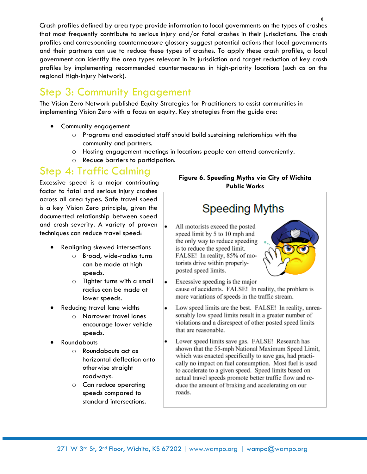Crash profiles defined by area type provide information to local governments on the types of crashes that most frequently contribute to serious injury and/or fatal crashes in their jurisdictions. The crash profiles and corresponding countermeasure glossary suggest potential actions that local governments and their partners can use to reduce these types of crashes. To apply these crash profiles, a local government can identify the area types relevant in its jurisdiction and target reduction of key crash profiles by implementing recommended countermeasures in high-priority locations (such as on the regional High-Injury Network).

## Step 3: Community Engagement

The Vision Zero Network published Equity Strategies for Practitioners to assist communities in implementing Vision Zero with a focus on equity. Key strategies from the guide are:

- Community engagement
	- o Programs and associated staff should build sustaining relationships with the community and partners.
	- o Hosting engagement meetings in locations people can attend conveniently.
	- o Reduce barriers to participation.

## Step 4: Traffic Calming

Excessive speed is a major contributing factor to fatal and serious injury crashes across all area types. Safe travel speed is a key Vision Zero principle, given the documented relationship between speed and crash severity. A variety of proven techniques can reduce travel speed:

- Realigning skewed intersections
	- o Broad, wide-radius turns can be made at high speeds.
	- o Tighter turns with a small radius can be made at lower speeds.
- Reducing travel lane widths
	- o Narrower travel lanes encourage lower vehicle speeds.
- Roundabouts
	- o Roundabouts act as horizontal deflection onto otherwise straight roadways.
	- o Can reduce operating speeds compared to standard intersections.

### **Figure 6. Speeding Myths via City of Wichita Public Works**

# **Speeding Myths**

All motorists exceed the posted speed limit by 5 to 10 mph and the only way to reduce speeding is to reduce the speed limit. FALSE! In reality, 85% of motorists drive within properlyposted speed limits.



- Excessive speeding is the major . cause of accidents. FALSE! In reality, the problem is more variations of speeds in the traffic stream.
- Low speed limits are the best. FALSE! In reality, unreasonably low speed limits result in a greater number of violations and a disrespect of other posted speed limits that are reasonable.
- Lower speed limits save gas. FALSE! Research has shown that the 55-mph National Maximum Speed Limit, which was enacted specifically to save gas, had practically no impact on fuel consumption. Most fuel is used to accelerate to a given speed. Speed limits based on actual travel speeds promote better traffic flow and reduce the amount of braking and accelerating on our roads.